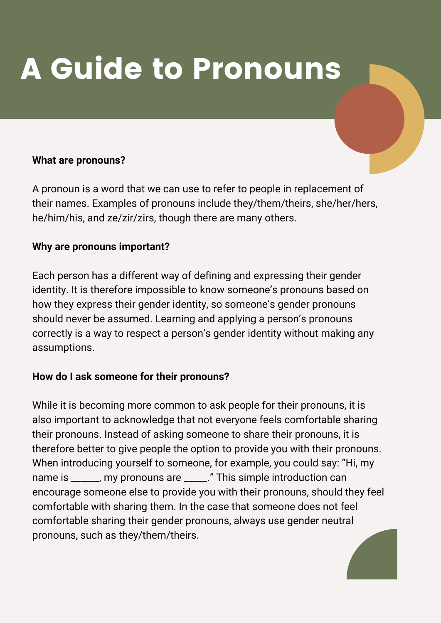# A Guide to Pronouns

### **What are pronouns?**

A pronoun is a word that we can use to refer to people in replacement of their names. Examples of pronouns include they/them/theirs, she/her/hers, he/him/his, and ze/zir/zirs, though there are many others.

#### **Why are pronouns important?**

Each person has a different way of defining and expressing their gender identity. It is therefore impossible to know someone's pronouns based on how they express their gender identity, so someone's gender pronouns should never be assumed. Learning and applying a person's pronouns correctly is a way to respect a person's gender identity without making any assumptions.

### **How do I ask someone for their pronouns?**

While it is becoming more common to ask people for their pronouns, it is also important to acknowledge that not everyone feels comfortable sharing their pronouns. Instead of asking someone to share their pronouns, it is therefore better to give people the option to provide you with their pronouns. When introducing yourself to someone, for example, you could say: "Hi, my name is \_\_\_\_\_\_, my pronouns are \_\_\_\_\_." This simple introduction can encourage someone else to provide you with their pronouns, should they feel comfortable with sharing them. In the case that someone does not feel comfortable sharing their gender pronouns, always use gender neutral pronouns, such as they/them/theirs.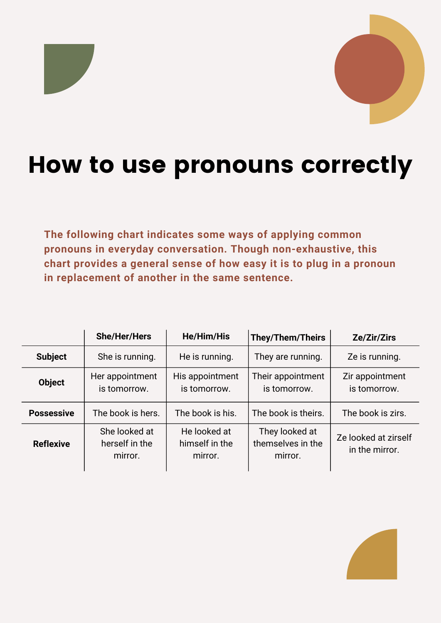### How to use pronouns correctly

**The following chart indicates some ways of applying common pronouns in everyday conversation. Though non-exhaustive, this chart provides a general sense of how easy it is to plug in a pronoun in replacement of another in the same sentence.**

|                   | <b>She/Her/Hers</b>                        | <b>He/Him/His</b>                         | <b>They/Them/Theirs</b>                        | Ze/Zir/Zirs                            |
|-------------------|--------------------------------------------|-------------------------------------------|------------------------------------------------|----------------------------------------|
| <b>Subject</b>    | She is running.                            | He is running.                            | They are running.                              | Ze is running.                         |
| <b>Object</b>     | Her appointment<br>is tomorrow.            | His appointment<br>is tomorrow.           | Their appointment<br>is tomorrow.              | Zir appointment<br>is tomorrow.        |
| <b>Possessive</b> | The book is hers.                          | The book is his.                          | The book is theirs.                            | The book is zirs.                      |
| <b>Reflexive</b>  | She looked at<br>herself in the<br>mirror. | He looked at<br>himself in the<br>mirror. | They looked at<br>themselves in the<br>mirror. | Ze looked at zirself<br>in the mirror. |

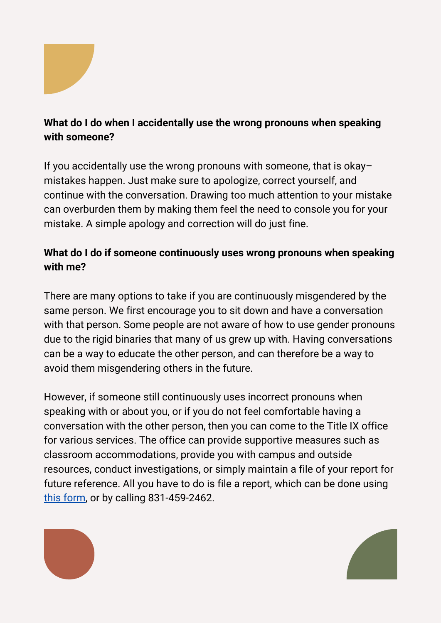

### **What do I do when I accidentally use the wrong pronouns when speaking with someone?**

If you accidentally use the wrong pronouns with someone, that is okay– mistakes happen. Just make sure to apologize, correct yourself, and continue with the conversation. Drawing too much attention to your mistake can overburden them by making them feel the need to console you for your mistake. A simple apology and correction will do just fine.

### **What do I do if someone continuously uses wrong pronouns when speaking with me?**

There are many options to take if you are continuously misgendered by the same person. We first encourage you to sit down and have a conversation with that person. Some people are not aware of how to use gender pronouns due to the rigid binaries that many of us grew up with. Having conversations can be a way to educate the other person, and can therefore be a way to avoid them misgendering others in the future.

However, if someone still continuously uses incorrect pronouns when speaking with or about you, or if you do not feel comfortable having a conversation with the other person, then you can come to the Title IX office for various services. The office can provide supportive measures such as classroom accommodations, provide you with campus and outside resources, conduct investigations, or simply maintain a file of your report for future reference. All you have to do is file a report, which can be done using this [form,](https://uctitleix.i-sight.com/portal) or by calling 831-459-2462.



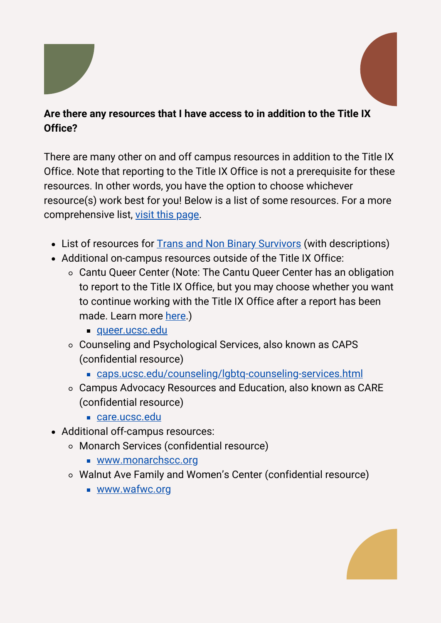

### **Are there any resources that I have access to in addition to the Title IX Office?**

There are many other on and off campus resources in addition to the Title IX Office. Note that reporting to the Title IX Office is not a prerequisite for these resources. In other words, you have the option to choose whichever resource(s) work best for you! Below is a list of some resources. For a more comprehensive list, visit this [page.](https://titleix.ucsc.edu/resources/svsh-resources.html)

- List of resources for **Trans and Non Binary [Survivors](https://titleix.ucsc.edu/_content-blocks/trans-nonbinary-resources-for-survivors.pdf)** (with descriptions)
- Additional on-campus resources outside of the Title IX Office:
	- Cantu Queer Center (Note: The Cantu Queer Center has an obligation to report to the Title IX Office, but you may choose whether you want to continue working with the Title IX Office after a report has been made. Learn more [here.](https://titleix.ucsc.edu/reporting/index.html))
		- [queer.ucsc.edu](https://queer.ucsc.edu/)
	- Counseling and Psychological Services, also known as CAPS (confidential resource)
		- [caps.ucsc.edu/counseling/lgbtq-counseling-services.html](https://caps.ucsc.edu/counseling/lgbtq-counseling-services.html)
	- Campus Advocacy Resources and Education, also known as CARE (confidential resource)
		- [care.ucsc.edu](https://care.ucsc.edu/)
- Additional off-campus resources:
	- Monarch Services (confidential resource)
		- [www.monarchscc.org](https://www.monarchscc.org/)
	- Walnut Ave Family and Women's Center (confidential resource)
		- [www.wafwc.org](http://www.wafwc.org/)